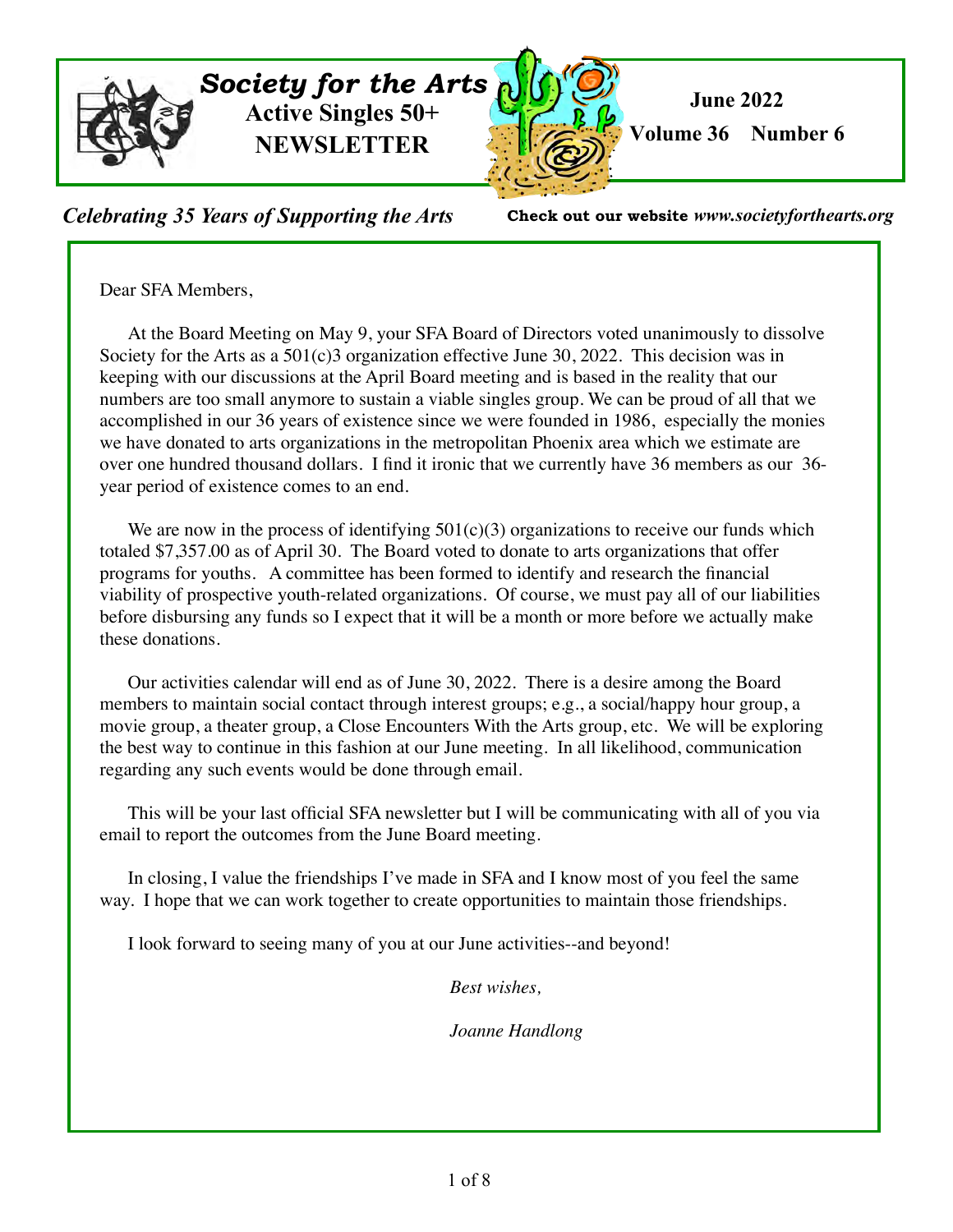

*Celebrating 35 Years of Supporting the Arts* **Check out our website** *www.societyforthearts.org*

Dear SFA Members,

 At the Board Meeting on May 9, your SFA Board of Directors voted unanimously to dissolve Society for the Arts as a  $501(c)3$  organization effective June 30, 2022. This decision was in keeping with our discussions at the April Board meeting and is based in the reality that our numbers are too small anymore to sustain a viable singles group. We can be proud of all that we accomplished in our 36 years of existence since we were founded in 1986, especially the monies we have donated to arts organizations in the metropolitan Phoenix area which we estimate are over one hundred thousand dollars. I find it ironic that we currently have 36 members as our 36 year period of existence comes to an end.

We are now in the process of identifying  $501(c)(3)$  organizations to receive our funds which totaled \$7,357.00 as of April 30. The Board voted to donate to arts organizations that offer programs for youths. A committee has been formed to identify and research the financial viability of prospective youth-related organizations. Of course, we must pay all of our liabilities before disbursing any funds so I expect that it will be a month or more before we actually make these donations.

 Our activities calendar will end as of June 30, 2022. There is a desire among the Board members to maintain social contact through interest groups; e.g., a social/happy hour group, a movie group, a theater group, a Close Encounters With the Arts group, etc. We will be exploring the best way to continue in this fashion at our June meeting. In all likelihood, communication regarding any such events would be done through email.

 This will be your last official SFA newsletter but I will be communicating with all of you via email to report the outcomes from the June Board meeting.

In closing, I value the friendships I've made in SFA and I know most of you feel the same way. I hope that we can work together to create opportunities to maintain those friendships.

I look forward to seeing many of you at our June activities--and beyond!

*Best wishes,*

*Joanne Handlong*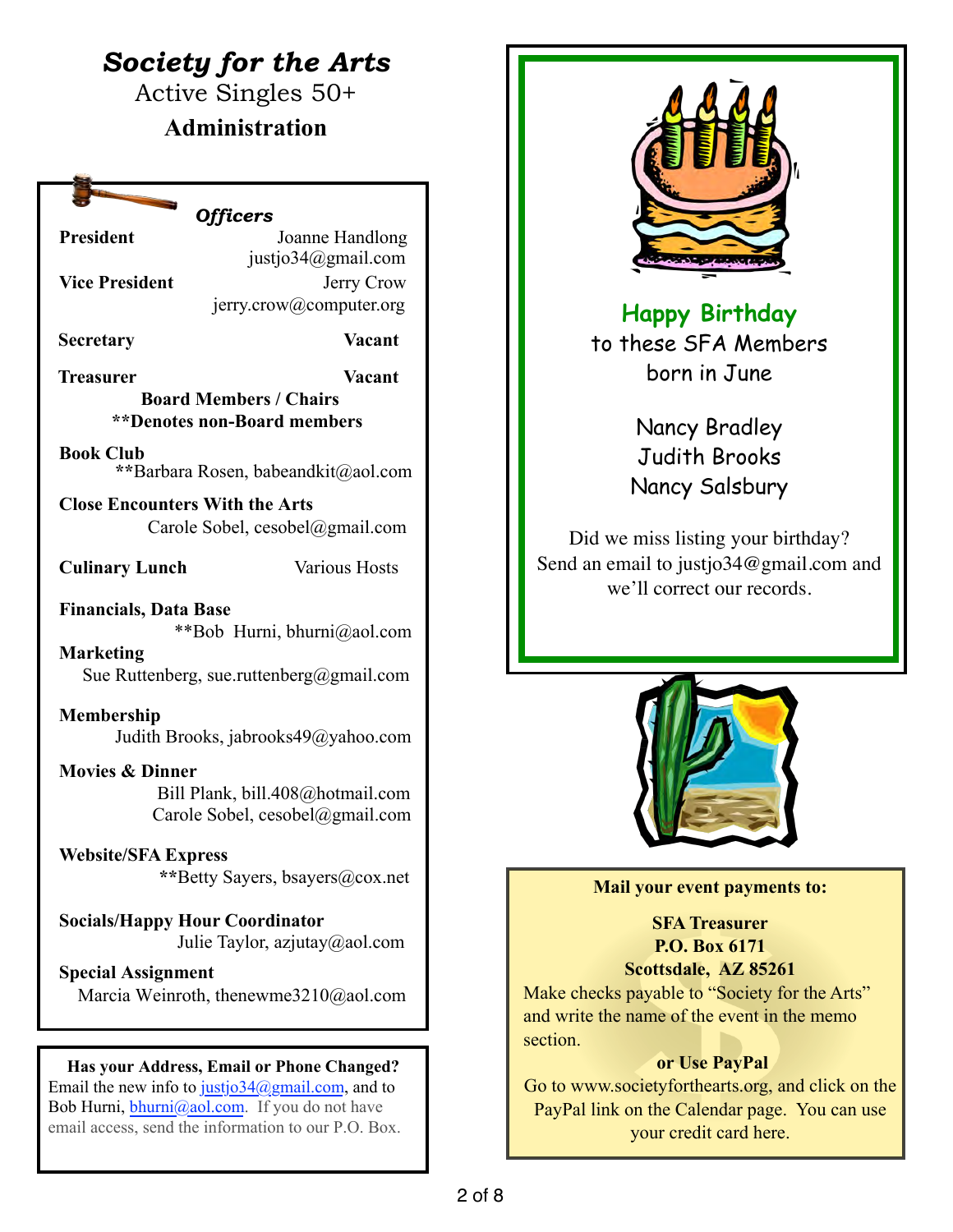# *Society for the Arts*

Active Singles 50+

# **Administration**

# *Officers*

**President** *Joanne Handlong* justjo34@gmail.com **Vice President Jerry Crow** jerry.crow@computer.org

**Secretary Vacant**

**Treasurer Vacant Board Members / Chairs \*\*Denotes non-Board members**

**Book Club \*\***Barbara Rosen, babeandkit@aol.com

**Close Encounters With the Arts**  Carole Sobel, cesobel@gmail.com

**Culinary Lunch** Various Hosts

**Financials, Data Base** \*\*Bob Hurni, bhurni@aol.com

**Marketing** Sue Ruttenberg, sue.ruttenberg@gmail.com

**Membership**  Judith Brooks, jabrooks49@yahoo.com

**Movies & Dinner** Bill Plank, bill.408@hotmail.com Carole Sobel, cesobel@gmail.com

**Website/SFA Express \*\***Betty Sayers, bsayers@cox.net

**Socials/Happy Hour Coordinator** Julie Taylor, azjutay@aol.com

**Special Assignment** Marcia Weinroth, thenewme3210@aol.com

# **Has your Address, Email or Phone Changed?**

Email the new info to justjo34@gmail.com, and to Bob Hurni,  $\frac{\text{bhurni}}{\text{a} \cdot \text{a} \cdot \text{b} \cdot \text{b} \cdot \text{b}}$  If you do not have email access, send the information to our P.O. Box.



**Happy Birthday**  to these SFA Members born in June

> Nancy Bradley Judith Brooks Nancy Salsbury

Did we miss listing your birthday? Send an email to justjo34@gmail.com and we'll correct our records.



### **Mail your event payments to:**

**SFA Treasurer P.O. Box 6171 Scottsdale, AZ 85261**

Make checks payable to "Society for the Arts" and write the name of the event in the memo section.

# **or Use PayPal**

Go to www.societyforthearts.org, and click on the PayPal link on the Calendar page. You can use your credit card here.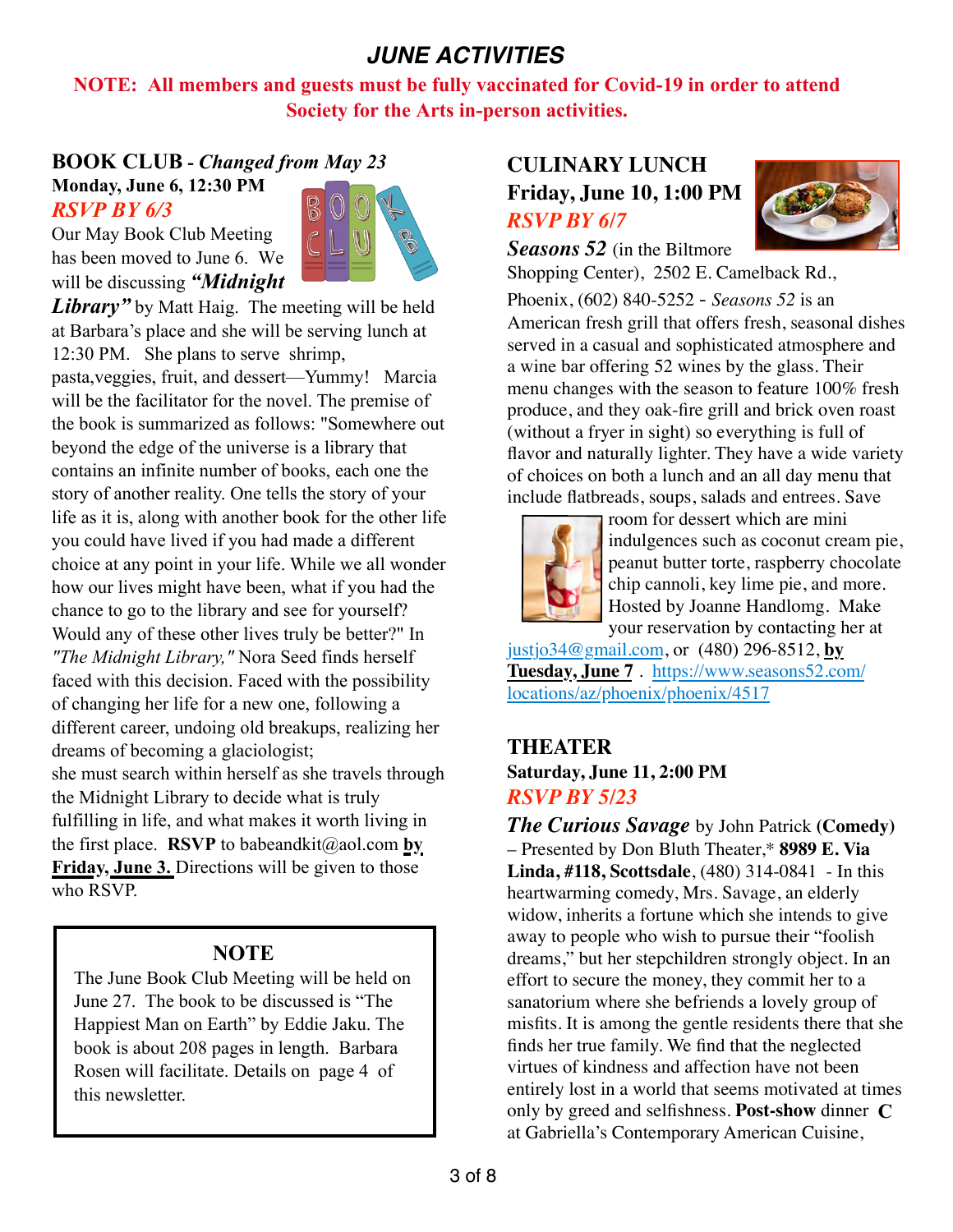# *JUNE ACTIVITIES*

**NOTE: All members and guests must be fully vaccinated for Covid-19 in order to attend Society for the Arts in-person activities.** 

# **BOOK CLUB -** *Changed from May 23* **Monday, June 6, 12:30 PM**



Our May Book Club Meeting has been moved to June 6. We will be discussing *"Midnight* 

*RSVP BY 6/3*

*Library* by Matt Haig. The meeting will be held at Barbara's place and she will be serving lunch at 12:30 PM. She plans to serve shrimp,

pasta,veggies, fruit, and dessert—Yummy! Marcia will be the facilitator for the novel. The premise of the book is summarized as follows: "Somewhere out beyond the edge of the universe is a library that contains an infinite number of books, each one the story of another reality. One tells the story of your life as it is, along with another book for the other life you could have lived if you had made a different choice at any point in your life. While we all wonder how our lives might have been, what if you had the chance to go to the library and see for yourself? Would any of these other lives truly be better?" In *"The Midnight Library,"* Nora Seed finds herself faced with this decision. Faced with the possibility of changing her life for a new one, following a different career, undoing old breakups, realizing her dreams of becoming a glaciologist; she must search within herself as she travels through the Midnight Library to decide what is truly fulfilling in life, and what makes it worth living in the first place. **RSVP** to babeandkit@aol.com **by Friday, June 3.** Directions will be given to those who RSVP.

# **NOTE**

The June Book Club Meeting will be held on June 27. The book to be discussed is "The Happiest Man on Earth" by Eddie Jaku. The book is about 208 pages in length. Barbara Rosen will facilitate. Details on page 4 of this newsletter.

# **CULINARY LUNCH Friday, June 10, 1:00 PM** *RSVP BY 6/7*



*Seasons 52* (in the Biltmore Shopping Center), 2502 E. Camelback Rd.,

Phoenix, (602) 840-5252 - *Seasons 52* is an American fresh grill that offers fresh, seasonal dishes served in a casual and sophisticated atmosphere and a wine bar offering 52 wines by the glass. Their menu changes with the season to feature 100% fresh produce, and they oak-fire grill and brick oven roast (without a fryer in sight) so everything is full of flavor and naturally lighter. They have a wide variety of choices on both a lunch and an all day menu that include flatbreads, soups, salads and entrees. Save



room for dessert which are mini indulgences such as coconut cream pie, peanut butter torte, raspberry chocolate chip cannoli, key lime pie, and more. Hosted by Joanne Handlomg. Make your reservation by contacting her at

[justjo34@gmail.com,](mailto:justjo34@gmail.com) or (480) 296-8512, **by Tuesday, June 7** . [https://www.seasons52.com/](%22) [locations/az/phoenix/phoenix/4517](%22)

# **THEATER**

# **Saturday, June 11, 2:00 PM** *RSVP BY 5/23*

only by greed and selfishness. Post-show dinner C *The Curious Savage* by John Patrick **(Comedy)** – Presented by Don Bluth Theater,\* **8989 E. Via Linda, #118, Scottsdale**, (480) 314-0841 - In this heartwarming comedy, Mrs. Savage, an elderly widow, inherits a fortune which she intends to give away to people who wish to pursue their "foolish dreams," but her stepchildren strongly object. In an effort to secure the money, they commit her to a sanatorium where she befriends a lovely group of misfits. It is among the gentle residents there that she finds her true family. We find that the neglected virtues of kindness and affection have not been entirely lost in a world that seems motivated at times at Gabriella's Contemporary American Cuisine,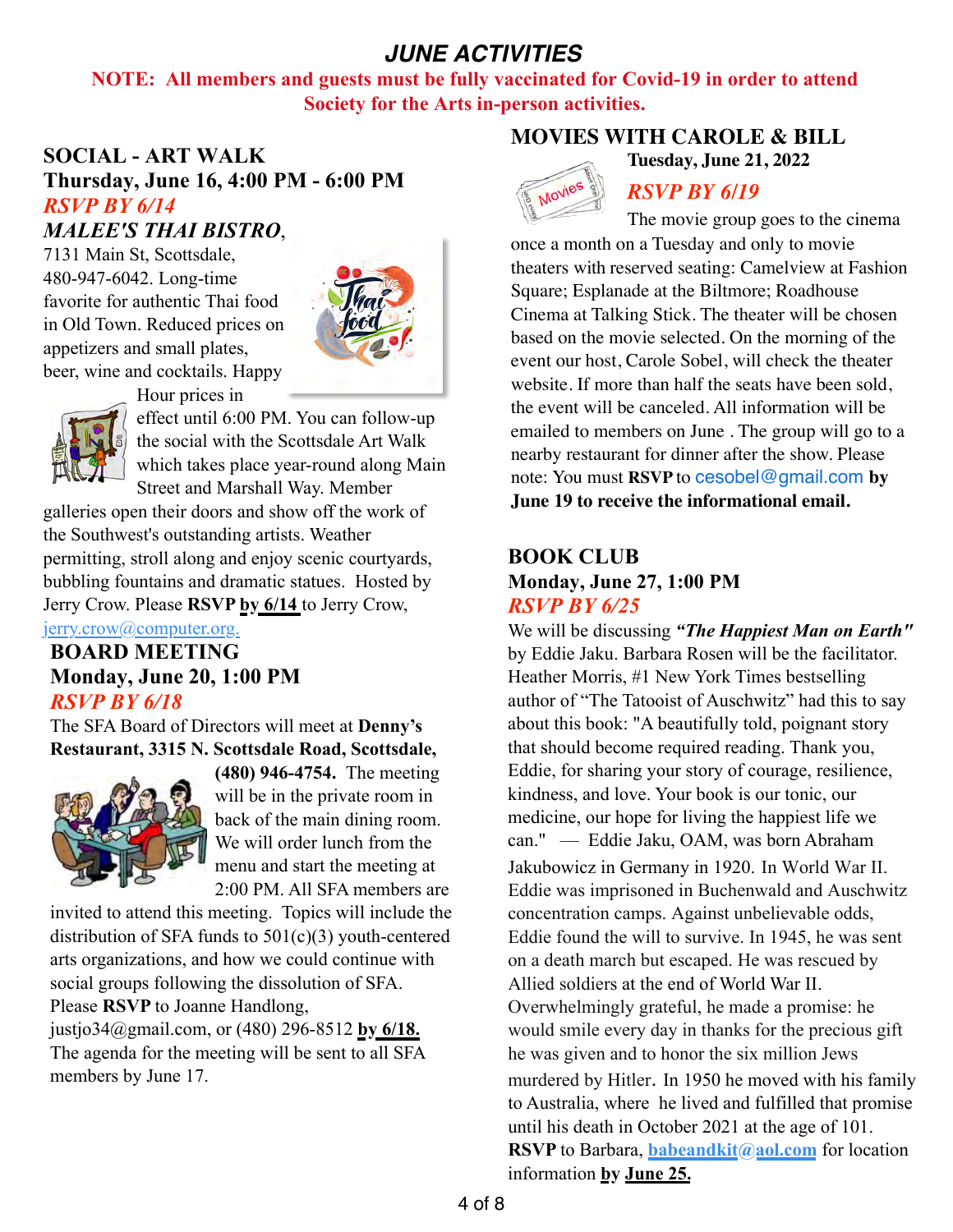# *JUNE ACTIVITIES*

**NOTE: All members and guests must be fully vaccinated for Covid-19 in order to attend Society for the Arts in-person activities.** 

# **SOCIAL - ART WALK Thursday, June 16, 4:00 PM - 6:00 PM** *RSVP BY 6/14 MALEE'S THAI BISTRO*,

7131 Main St, Scottsdale, 480-947-6042. Long-time favorite for authentic Thai food in Old Town. Reduced prices on appetizers and small plates, beer, wine and cocktails. Happy



Hour prices in



effect until 6:00 PM. You can follow-up the social with the Scottsdale Art Walk which takes place year-round along Main Street and Marshall Way. Member

galleries open their doors and show off the work of the Southwest's outstanding artists. Weather permitting, stroll along and enjoy scenic courtyards, bubbling fountains and dramatic statues. Hosted by Jerry Crow. Please **RSVP by 6/14** to Jerry Crow,

jerry.crow@computer.org.

# **BOARD MEETING Monday, June 20, 1:00 PM**  *RSVP BY 6/18*

The SFA Board of Directors will meet at **Denny's Restaurant, 3315 N. Scottsdale Road, Scottsdale,** 



**(480) 946-4754.** The meeting will be in the private room in back of the main dining room. We will order lunch from the menu and start the meeting at 2:00 PM. All SFA members are

invited to attend this meeting. Topics will include the distribution of SFA funds to  $501(c)(3)$  youth-centered arts organizations, and how we could continue with social groups following the dissolution of SFA. Please **RSVP** to Joanne Handlong,

justjo34@gmail.com, or (480) 296-8512 **by 6/18.**  The agenda for the meeting will be sent to all SFA members by June 17.

### **MOVIES WITH CAROLE & BILL**





### *RSVP BY 6/19*

The movie group goes to the cinema once a month on a Tuesday and only to movie theaters with reserved seating: Camelview at Fashion Square; Esplanade at the Biltmore; Roadhouse Cinema at Talking Stick. The theater will be chosen based on the movie selected. On the morning of the event our host, Carole Sobel, will check the theater website. If more than half the seats have been sold, the event will be canceled. All information will be emailed to members on June . The group will go to a nearby restaurant for dinner after the show. Please note: You must **RSVP** to [cesobel@gmail.com](mailto:cesobel@gmail.com) **by June 19 to receive the informational email.**

# **BOOK CLUB**

### **Monday, June 27, 1:00 PM** *RSVP BY 6/25*

We will be discussing *"The Happiest Man on Earth"*  by Eddie Jaku. Barbara Rosen will be the facilitator. Heather Morris, #1 New York Times bestselling author of "The Tatooist of Auschwitz" had this to say about this book: "A beautifully told, poignant story that should become required reading. Thank you, Eddie, for sharing your story of courage, resilience, kindness, and love. Your book is our tonic, our medicine, our hope for living the happiest life we can." — Eddie Jaku, OAM, was born Abraham Jakubowicz in Germany in 1920. In World War II. Eddie was imprisoned in Buchenwald and Auschwitz concentration camps. Against unbelievable odds, Eddie found the will to survive. In 1945, he was sent on a death march but escaped. He was rescued by Allied soldiers at the end of World War II. Overwhelmingly grateful, he made a promise: he would smile every day in thanks for the precious gift he was given and to honor the six million Jews murdered by Hitler. In 1950 he moved with his family to Australia, where he lived and fulfilled that promise until his death in October 2021 at the age of 101. **RSVP** to Barbara, **babeandkit**(a) aol.com for location information **by June 25.**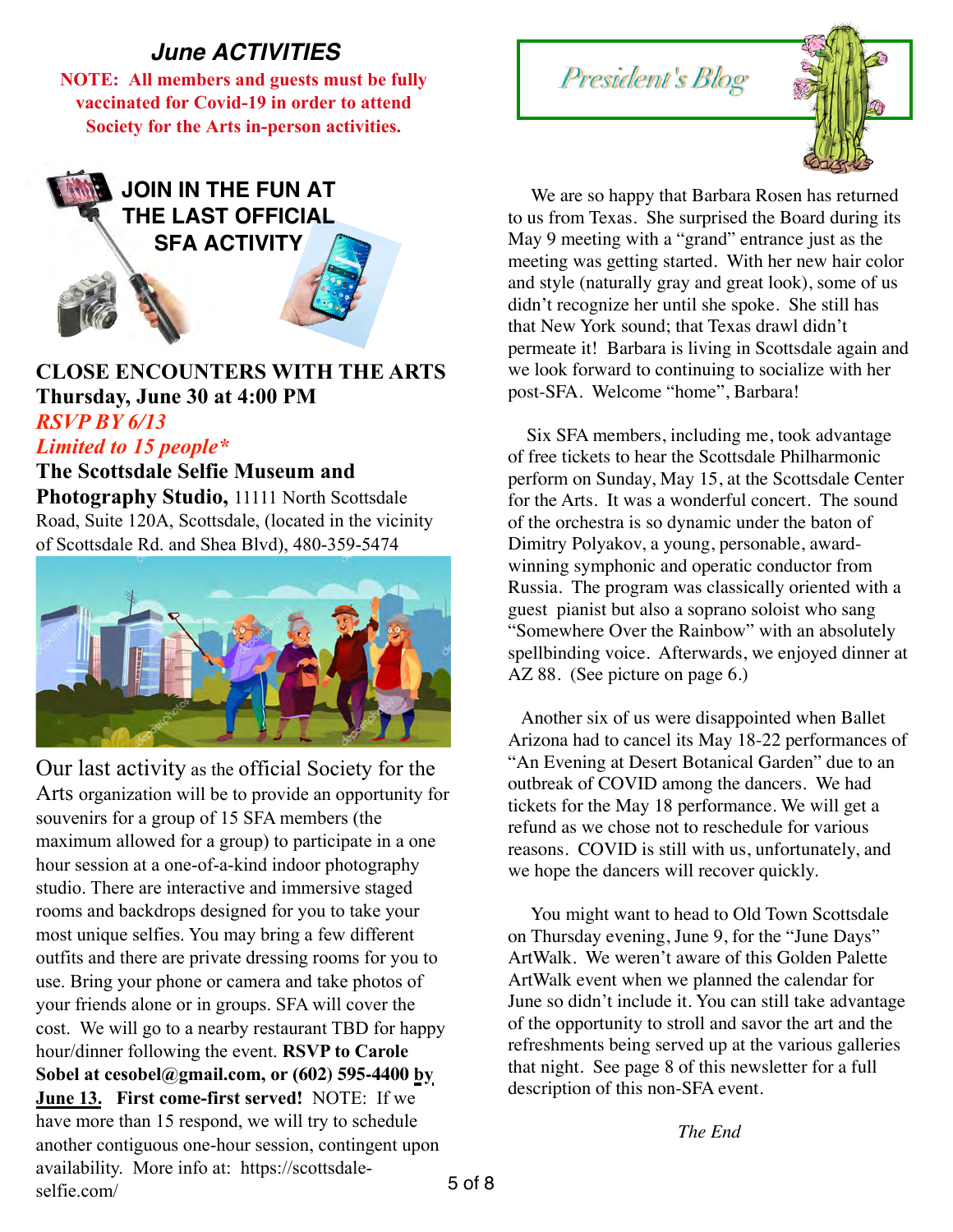# *June ACTIVITIES*

**NOTE: All members and guests must be fully vaccinated for Covid-19 in order to attend Society for the Arts in-person activities.** 



# **CLOSE ENCOUNTERS WITH THE ARTS Thursday, June 30 at 4:00 PM** *RSVP BY 6/13*

# *Limited to 15 people\**

**The Scottsdale Selfie Museum and**  Photography Studio, 11111 North Scottsdale Road, Suite 120A, Scottsdale, (located in the vicinity of Scottsdale Rd. and Shea Blvd), 480-359-5474



Our last activity as the official Society for the Arts organization will be to provide an opportunity for souvenirs for a group of 15 SFA members (the maximum allowed for a group) to participate in a one hour session at a one-of-a-kind indoor photography studio. There are interactive and immersive staged rooms and backdrops designed for you to take your most unique selfies. You may bring a few different outfits and there are private dressing rooms for you to use. Bring your phone or camera and take photos of your friends alone or in groups. SFA will cover the cost. We will go to a nearby restaurant TBD for happy hour/dinner following the event. **RSVP to Carole Sobel at cesobel@gmail.com, or (602) 595-4400 by June 13. First come-first served!** NOTE: If we have more than 15 respond, we will try to schedule another contiguous one-hour session, contingent upon availability. More info at: https://scottsdaleselfie.com/





 We are so happy that Barbara Rosen has returned to us from Texas. She surprised the Board during its May 9 meeting with a "grand" entrance just as the meeting was getting started. With her new hair color and style (naturally gray and great look), some of us didn't recognize her until she spoke. She still has that New York sound; that Texas drawl didn't permeate it! Barbara is living in Scottsdale again and we look forward to continuing to socialize with her post-SFA. Welcome "home", Barbara!

 Six SFA members, including me, took advantage of free tickets to hear the Scottsdale Philharmonic perform on Sunday, May 15, at the Scottsdale Center for the Arts. It was a wonderful concert. The sound of the orchestra is so dynamic under the baton of Dimitry Polyakov, a young, personable, awardwinning symphonic and operatic conductor from Russia. The program was classically oriented with a guest pianist but also a soprano soloist who sang "Somewhere Over the Rainbow" with an absolutely spellbinding voice. Afterwards, we enjoyed dinner at AZ 88. (See picture on page 6.)

 Another six of us were disappointed when Ballet Arizona had to cancel its May 18-22 performances of "An Evening at Desert Botanical Garden" due to an outbreak of COVID among the dancers. We had tickets for the May 18 performance. We will get a refund as we chose not to reschedule for various reasons. COVID is still with us, unfortunately, and we hope the dancers will recover quickly.

 You might want to head to Old Town Scottsdale on Thursday evening, June 9, for the "June Days" ArtWalk. We weren't aware of this Golden Palette ArtWalk event when we planned the calendar for June so didn't include it. You can still take advantage of the opportunity to stroll and savor the art and the refreshments being served up at the various galleries that night. See page 8 of this newsletter for a full description of this non-SFA event.

*The End*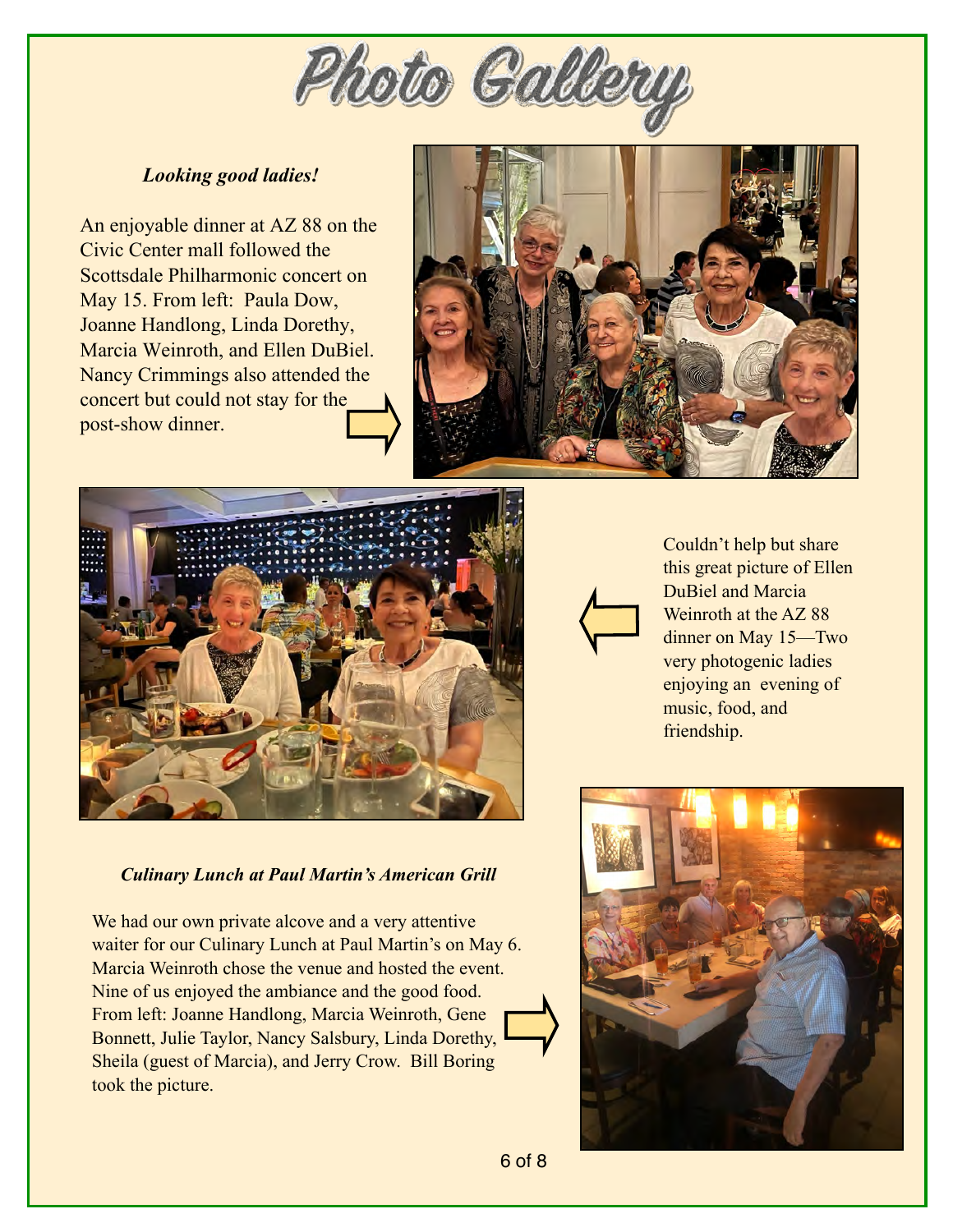

### *Looking good ladies!*

An enjoyable dinner at AZ 88 on the Civic Center mall followed the Scottsdale Philharmonic concert on May 15. From left: Paula Dow, Joanne Handlong, Linda Dorethy, Marcia Weinroth, and Ellen DuBiel. Nancy Crimmings also attended the concert but could not stay for the post-show dinner.





### *Culinary Lunch at Paul Martin's American Grill*

We had our own private alcove and a very attentive waiter for our Culinary Lunch at Paul Martin's on May 6. Marcia Weinroth chose the venue and hosted the event. Nine of us enjoyed the ambiance and the good food. From left: Joanne Handlong, Marcia Weinroth, Gene Bonnett, Julie Taylor, Nancy Salsbury, Linda Dorethy, Sheila (guest of Marcia), and Jerry Crow. Bill Boring took the picture.



Couldn't help but share this great picture of Ellen DuBiel and Marcia Weinroth at the AZ 88 dinner on May 15—Two very photogenic ladies enjoying an evening of music, food, and friendship.

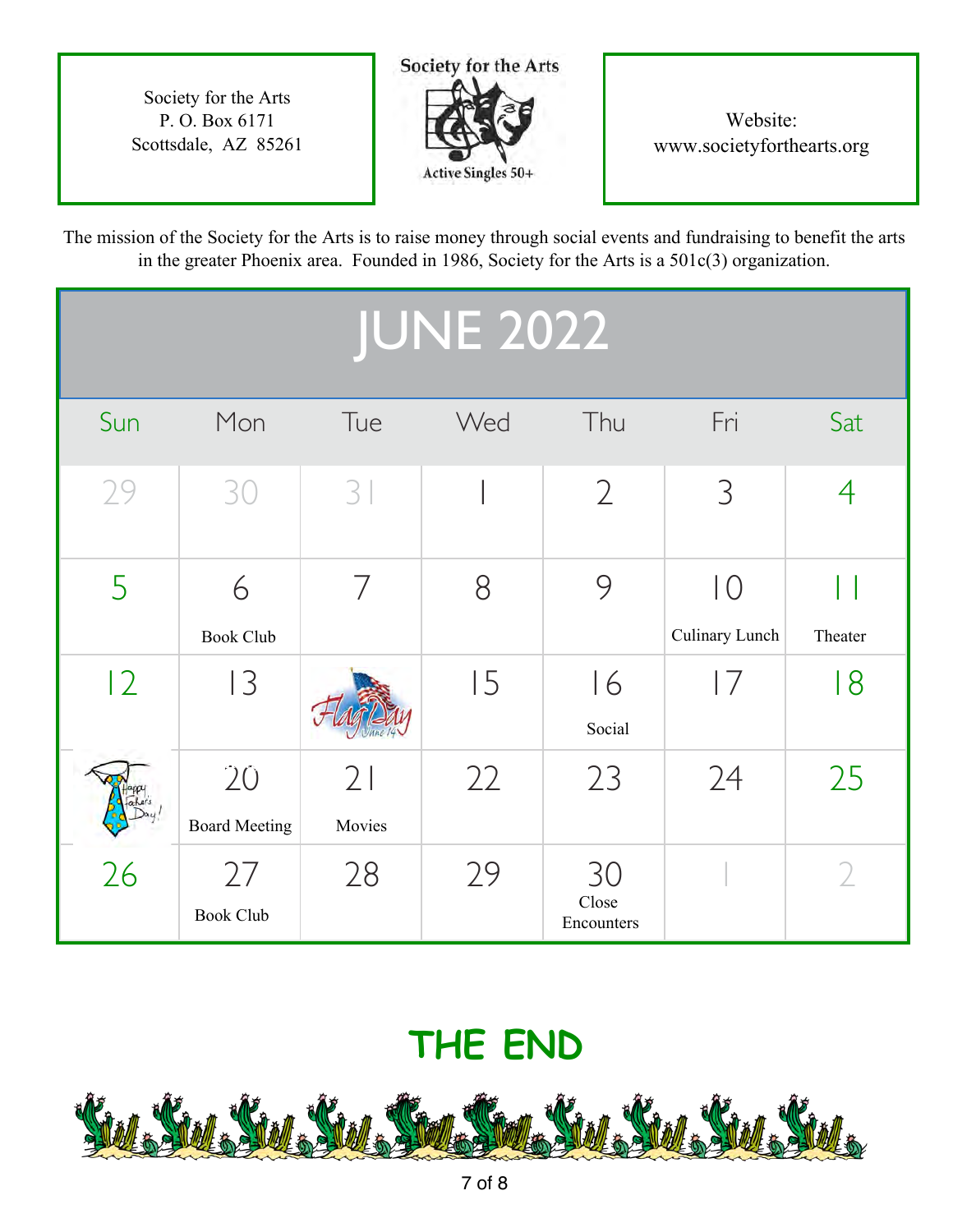Society for the Arts P. O. Box 6171 Scottsdale, AZ 85261



# Website: www.societyforthearts.org

The mission of the Society for the Arts is to raise money through social events and fundraising to benefit the arts in the greater Phoenix area. Founded in 1986, Society for the Arts is a 501c(3) organization.

| <b>JUNE 2022</b> |                            |                |     |                           |                                           |         |
|------------------|----------------------------|----------------|-----|---------------------------|-------------------------------------------|---------|
| Sun              | Mon                        | Tue            | Wed | Thu                       | Fri                                       | Sat     |
| 29               | 30                         | 3              |     | $\overline{2}$            | 3                                         | 4       |
| 5                | 6<br><b>Book Club</b>      | $\overline{ }$ | 8   | 9                         | $\overline{\big }\big $<br>Culinary Lunch | Theater |
| 12               | 13                         |                | 15  | 16<br>Social              | 7                                         | 8       |
|                  | 20<br><b>Board Meeting</b> | 21<br>Movies   | 22  | 23                        | 24                                        | 25      |
| 26               | 27<br><b>Book Club</b>     | 28             | 29  | 30<br>Close<br>Encounters |                                           |         |

# **THE END**